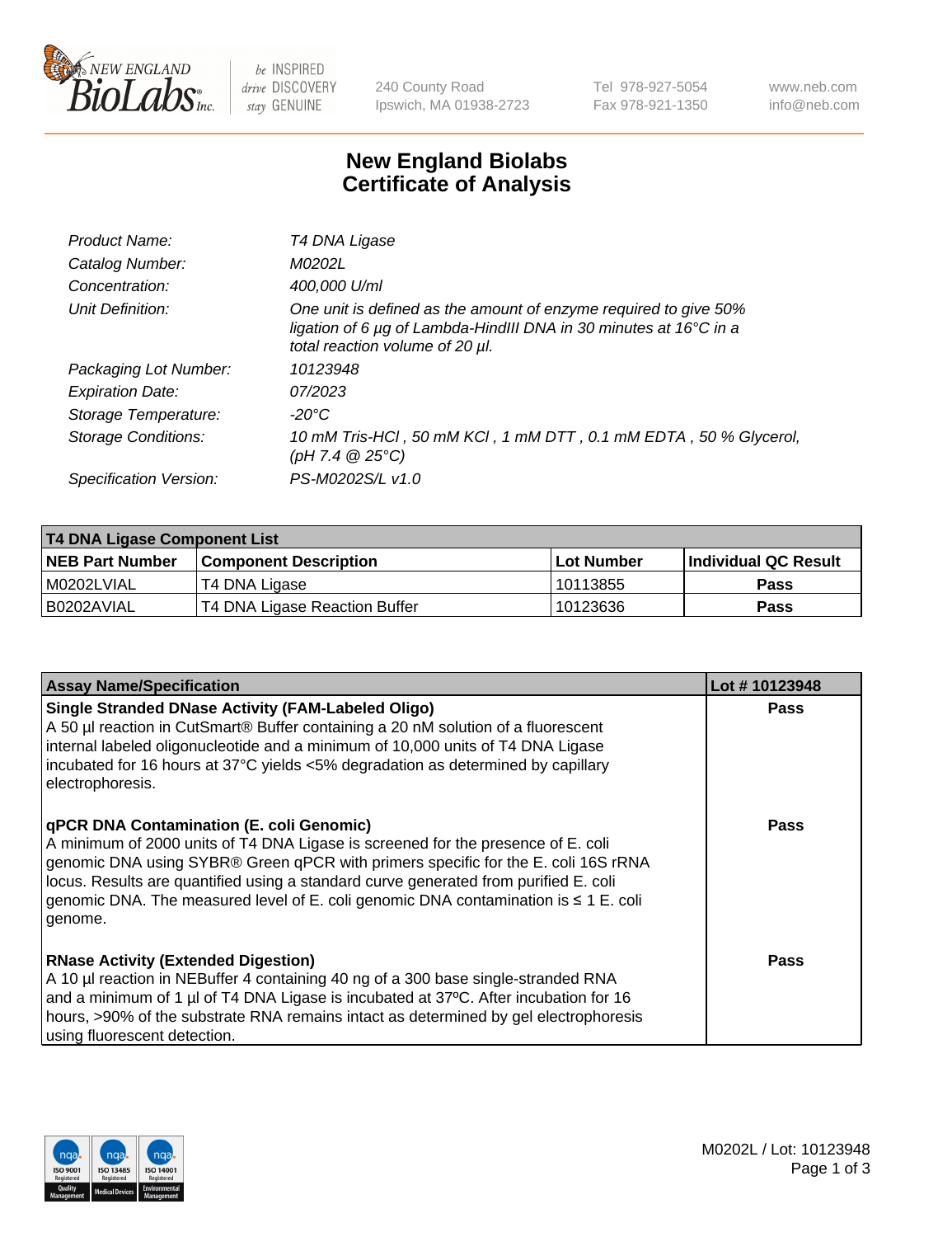

 $be$  INSPIRED drive DISCOVERY stay GENUINE

240 County Road Ipswich, MA 01938-2723 Tel 978-927-5054 Fax 978-921-1350 www.neb.com info@neb.com

## **New England Biolabs Certificate of Analysis**

| Product Name:           | T4 DNA Ligase                                                                                                                                                            |
|-------------------------|--------------------------------------------------------------------------------------------------------------------------------------------------------------------------|
| Catalog Number:         | M0202L                                                                                                                                                                   |
| Concentration:          | 400,000 U/ml                                                                                                                                                             |
| Unit Definition:        | One unit is defined as the amount of enzyme required to give 50%<br>ligation of 6 µg of Lambda-HindIII DNA in 30 minutes at 16°C in a<br>total reaction volume of 20 µl. |
| Packaging Lot Number:   | 10123948                                                                                                                                                                 |
| <b>Expiration Date:</b> | 07/2023                                                                                                                                                                  |
| Storage Temperature:    | $-20^{\circ}$ C                                                                                                                                                          |
| Storage Conditions:     | 10 mM Tris-HCl, 50 mM KCl, 1 mM DTT, 0.1 mM EDTA, 50 % Glycerol,<br>(pH 7.4 $@25°C$ )                                                                                    |
| Specification Version:  | PS-M0202S/L v1.0                                                                                                                                                         |

| T4 DNA Ligase Component List |                               |              |                             |  |  |
|------------------------------|-------------------------------|--------------|-----------------------------|--|--|
| <b>NEB Part Number</b>       | <b>Component Description</b>  | l Lot Number | <b>Individual QC Result</b> |  |  |
| M0202LVIAL                   | T4 DNA Ligase                 | 10113855     | <b>Pass</b>                 |  |  |
| I B0202AVIAL                 | T4 DNA Ligase Reaction Buffer | 10123636     | <b>Pass</b>                 |  |  |

| <b>Assay Name/Specification</b>                                                                                                                                                                                                                                                                                                                                                                             | Lot #10123948 |
|-------------------------------------------------------------------------------------------------------------------------------------------------------------------------------------------------------------------------------------------------------------------------------------------------------------------------------------------------------------------------------------------------------------|---------------|
| <b>Single Stranded DNase Activity (FAM-Labeled Oligo)</b><br>A 50 µl reaction in CutSmart® Buffer containing a 20 nM solution of a fluorescent<br>internal labeled oligonucleotide and a minimum of 10,000 units of T4 DNA Ligase<br>incubated for 16 hours at 37°C yields <5% degradation as determined by capillary<br>electrophoresis.                                                                   | <b>Pass</b>   |
| qPCR DNA Contamination (E. coli Genomic)<br>A minimum of 2000 units of T4 DNA Ligase is screened for the presence of E. coli<br>genomic DNA using SYBR® Green qPCR with primers specific for the E. coli 16S rRNA<br>locus. Results are quantified using a standard curve generated from purified E. coli<br>genomic DNA. The measured level of E. coli genomic DNA contamination is ≤ 1 E. coli<br>genome. | <b>Pass</b>   |
| <b>RNase Activity (Extended Digestion)</b><br>A 10 µl reaction in NEBuffer 4 containing 40 ng of a 300 base single-stranded RNA<br>and a minimum of 1 µl of T4 DNA Ligase is incubated at 37°C. After incubation for 16<br>hours, >90% of the substrate RNA remains intact as determined by gel electrophoresis<br>using fluorescent detection.                                                             | <b>Pass</b>   |

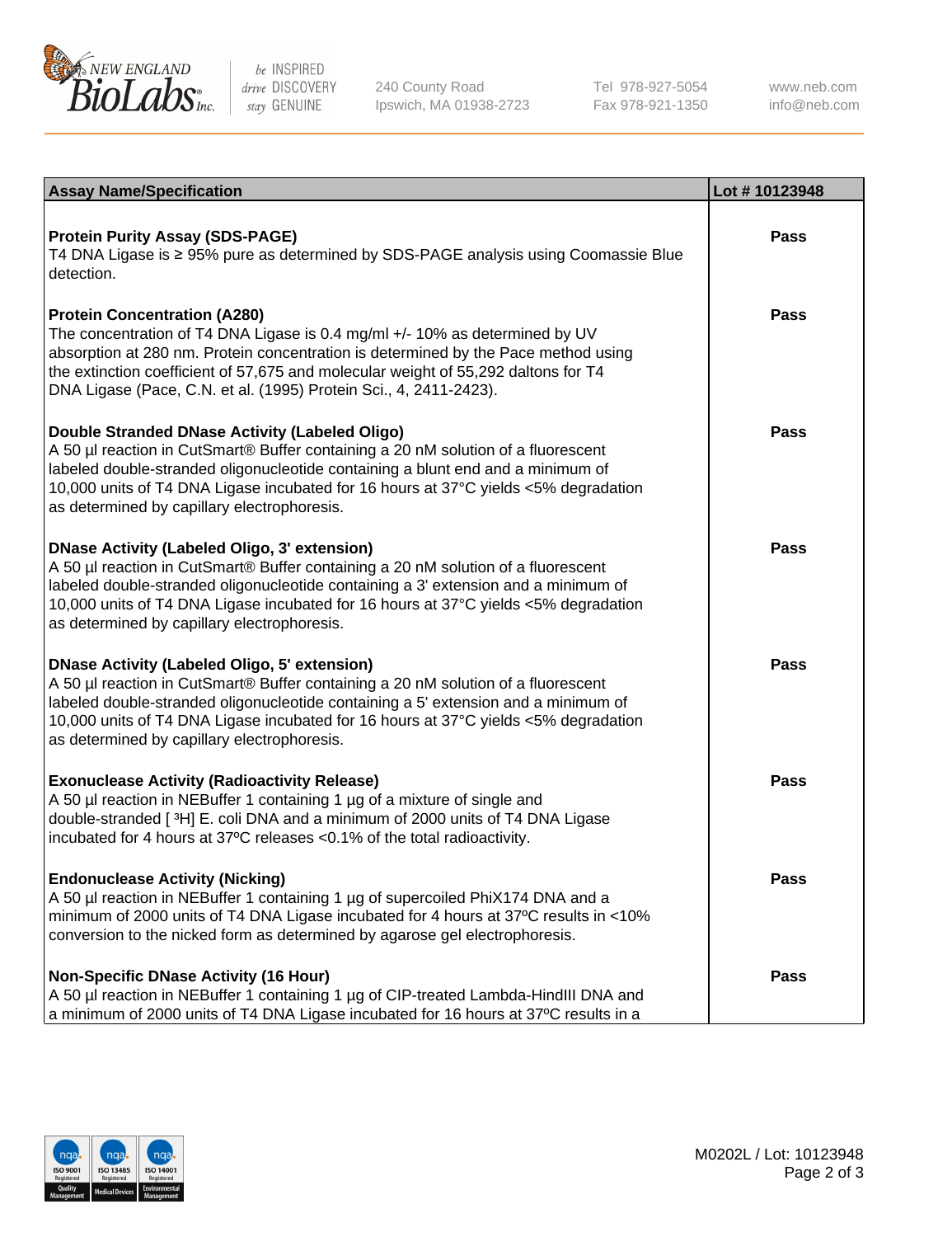

be INSPIRED drive DISCOVERY stay GENUINE

240 County Road Ipswich, MA 01938-2723 Tel 978-927-5054 Fax 978-921-1350

www.neb.com info@neb.com

| <b>Assay Name/Specification</b>                                                                                                                                                                                                                                                                                                                                      | Lot #10123948 |
|----------------------------------------------------------------------------------------------------------------------------------------------------------------------------------------------------------------------------------------------------------------------------------------------------------------------------------------------------------------------|---------------|
| <b>Protein Purity Assay (SDS-PAGE)</b><br>T4 DNA Ligase is ≥ 95% pure as determined by SDS-PAGE analysis using Coomassie Blue<br>detection.                                                                                                                                                                                                                          | <b>Pass</b>   |
| <b>Protein Concentration (A280)</b><br>The concentration of T4 DNA Ligase is 0.4 mg/ml +/- 10% as determined by UV<br>absorption at 280 nm. Protein concentration is determined by the Pace method using<br>the extinction coefficient of 57,675 and molecular weight of 55,292 daltons for T4<br>DNA Ligase (Pace, C.N. et al. (1995) Protein Sci., 4, 2411-2423).  | <b>Pass</b>   |
| Double Stranded DNase Activity (Labeled Oligo)<br>A 50 µl reaction in CutSmart® Buffer containing a 20 nM solution of a fluorescent<br>labeled double-stranded oligonucleotide containing a blunt end and a minimum of<br>10,000 units of T4 DNA Ligase incubated for 16 hours at 37°C yields <5% degradation<br>as determined by capillary electrophoresis.         | <b>Pass</b>   |
| <b>DNase Activity (Labeled Oligo, 3' extension)</b><br>A 50 µl reaction in CutSmart® Buffer containing a 20 nM solution of a fluorescent<br>labeled double-stranded oligonucleotide containing a 3' extension and a minimum of<br>10,000 units of T4 DNA Ligase incubated for 16 hours at 37°C yields <5% degradation<br>as determined by capillary electrophoresis. | Pass          |
| <b>DNase Activity (Labeled Oligo, 5' extension)</b><br>A 50 µl reaction in CutSmart® Buffer containing a 20 nM solution of a fluorescent<br>labeled double-stranded oligonucleotide containing a 5' extension and a minimum of<br>10,000 units of T4 DNA Ligase incubated for 16 hours at 37°C yields <5% degradation<br>as determined by capillary electrophoresis. | <b>Pass</b>   |
| <b>Exonuclease Activity (Radioactivity Release)</b><br>A 50 µl reaction in NEBuffer 1 containing 1 µg of a mixture of single and<br>double-stranded [3H] E. coli DNA and a minimum of 2000 units of T4 DNA Ligase<br>incubated for 4 hours at 37°C releases <0.1% of the total radioactivity.                                                                        | <b>Pass</b>   |
| <b>Endonuclease Activity (Nicking)</b><br>A 50 µl reaction in NEBuffer 1 containing 1 µg of supercoiled PhiX174 DNA and a<br>minimum of 2000 units of T4 DNA Ligase incubated for 4 hours at 37°C results in <10%<br>conversion to the nicked form as determined by agarose gel electrophoresis.                                                                     | <b>Pass</b>   |
| <b>Non-Specific DNase Activity (16 Hour)</b><br>A 50 µl reaction in NEBuffer 1 containing 1 µg of CIP-treated Lambda-HindIII DNA and<br>a minimum of 2000 units of T4 DNA Ligase incubated for 16 hours at 37°C results in a                                                                                                                                         | <b>Pass</b>   |